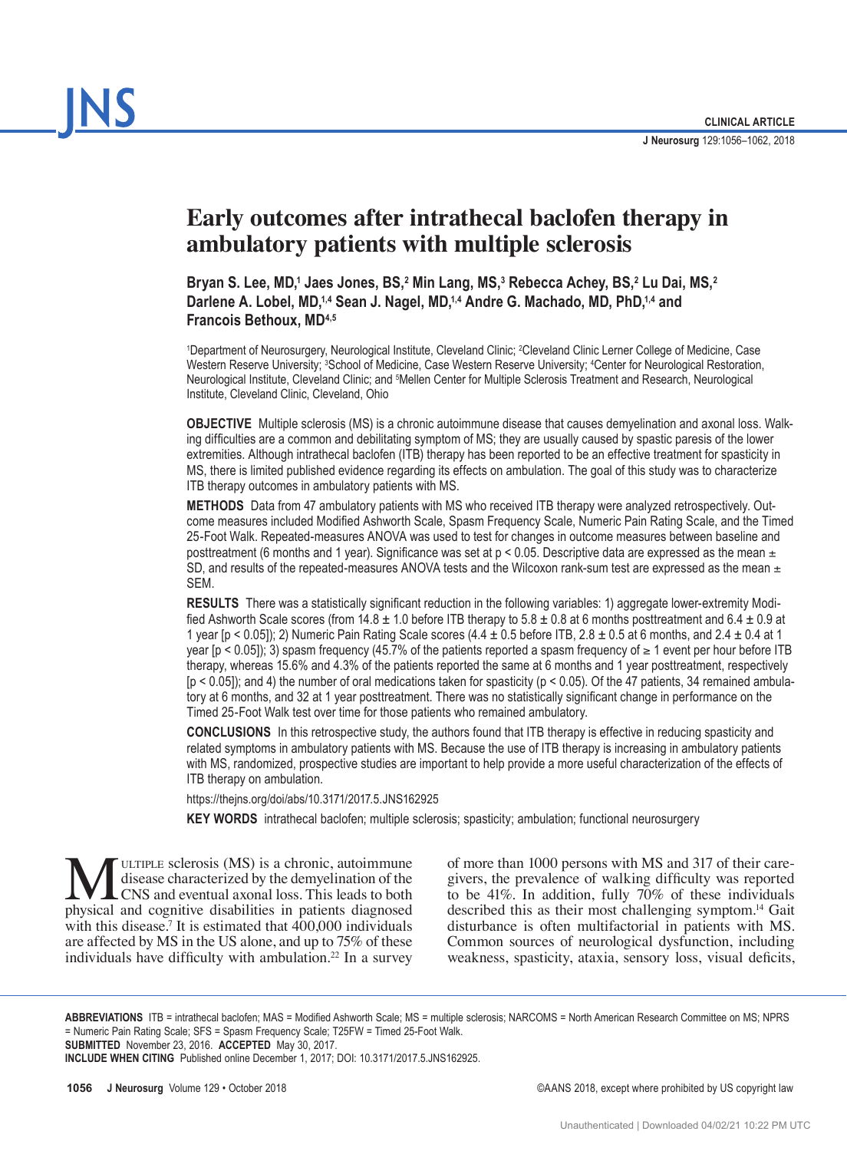# **Early outcomes after intrathecal baclofen therapy in ambulatory patients with multiple sclerosis**

**Bryan S. Lee, MD,1 Jaes Jones, BS,2 Min Lang, MS,3 Rebecca Achey, BS,2 Lu Dai, MS,2** Darlene A. Lobel, MD,<sup>1,4</sup> Sean J. Nagel, MD,<sup>1,4</sup> Andre G. Machado, MD, PhD,<sup>1,4</sup> and **Francois Bethoux, MD4,5**

1 Department of Neurosurgery, Neurological Institute, Cleveland Clinic; 2 Cleveland Clinic Lerner College of Medicine, Case Western Reserve University; 3 School of Medicine, Case Western Reserve University; 4 Center for Neurological Restoration, Neurological Institute, Cleveland Clinic; and <sup>5</sup>Mellen Center for Multiple Sclerosis Treatment and Research, Neurological Institute, Cleveland Clinic, Cleveland, Ohio

**OBJECTIVE** Multiple sclerosis (MS) is a chronic autoimmune disease that causes demyelination and axonal loss. Walking difficulties are a common and debilitating symptom of MS; they are usually caused by spastic paresis of the lower extremities. Although intrathecal baclofen (ITB) therapy has been reported to be an effective treatment for spasticity in MS, there is limited published evidence regarding its effects on ambulation. The goal of this study was to characterize ITB therapy outcomes in ambulatory patients with MS.

**METHODS** Data from 47 ambulatory patients with MS who received ITB therapy were analyzed retrospectively. Outcome measures included Modified Ashworth Scale, Spasm Frequency Scale, Numeric Pain Rating Scale, and the Timed 25-Foot Walk. Repeated-measures ANOVA was used to test for changes in outcome measures between baseline and posttreatment (6 months and 1 year). Significance was set at  $p < 0.05$ . Descriptive data are expressed as the mean  $\pm$ SD, and results of the repeated-measures ANOVA tests and the Wilcoxon rank-sum test are expressed as the mean  $\pm$ SEM.

**RESULTS** There was a statistically significant reduction in the following variables: 1) aggregate lower-extremity Modified Ashworth Scale scores (from  $14.8 \pm 1.0$  before ITB therapy to  $5.8 \pm 0.8$  at 6 months posttreatment and  $6.4 \pm 0.9$  at 1 year [p < 0.05]); 2) Numeric Pain Rating Scale scores  $(4.4 \pm 0.5 \text{ before ITB}, 2.8 \pm 0.5 \text{ at 6 months}, \text{ and } 2.4 \pm 0.4 \text{ at 1}$ year [ $p$  < 0.05]); 3) spasm frequency (45.7% of the patients reported a spasm frequency of  $\geq 1$  event per hour before ITB therapy, whereas 15.6% and 4.3% of the patients reported the same at 6 months and 1 year posttreatment, respectively  $[p < 0.05]$ ); and 4) the number of oral medications taken for spasticity  $(p < 0.05)$ . Of the 47 patients, 34 remained ambulatory at 6 months, and 32 at 1 year posttreatment. There was no statistically significant change in performance on the Timed 25-Foot Walk test over time for those patients who remained ambulatory.

**CONCLUSIONS** In this retrospective study, the authors found that ITB therapy is effective in reducing spasticity and related symptoms in ambulatory patients with MS. Because the use of ITB therapy is increasing in ambulatory patients with MS, randomized, prospective studies are important to help provide a more useful characterization of the effects of ITB therapy on ambulation.

https://thejns.org/doi/abs/10.3171/2017.5.JNS162925

**KEY WORDS** intrathecal baclofen; multiple sclerosis; spasticity; ambulation; functional neurosurgery

**MULTIPLE sclerosis (MS) is a chronic, autoimmune**<br>disease characterized by the demyelination of the<br>physical and cognitive disabilities in patients diagnosed disease characterized by the demyelination of the CNS and eventual axonal loss. This leads to both physical and cognitive disabilities in patients diagnosed with this disease.<sup>7</sup> It is estimated that 400,000 individuals are affected by MS in the US alone, and up to 75% of these individuals have difficulty with ambulation.<sup>22</sup> In a survey

of more than 1000 persons with MS and 317 of their caregivers, the prevalence of walking difficulty was reported to be 41%. In addition, fully 70% of these individuals described this as their most challenging symptom.<sup>14</sup> Gait disturbance is often multifactorial in patients with MS. Common sources of neurological dysfunction, including weakness, spasticity, ataxia, sensory loss, visual deficits,

**ABBREVIATIONS** ITB = intrathecal baclofen; MAS = Modified Ashworth Scale; MS = multiple sclerosis; NARCOMS = North American Research Committee on MS; NPRS = Numeric Pain Rating Scale; SFS = Spasm Frequency Scale; T25FW = Timed 25-Foot Walk.

**SUBMITTED** November 23, 2016. **ACCEPTED** May 30, 2017.

**INCLUDE WHEN CITING** Published online December 1, 2017; DOI: 10.3171/2017.5.JNS162925.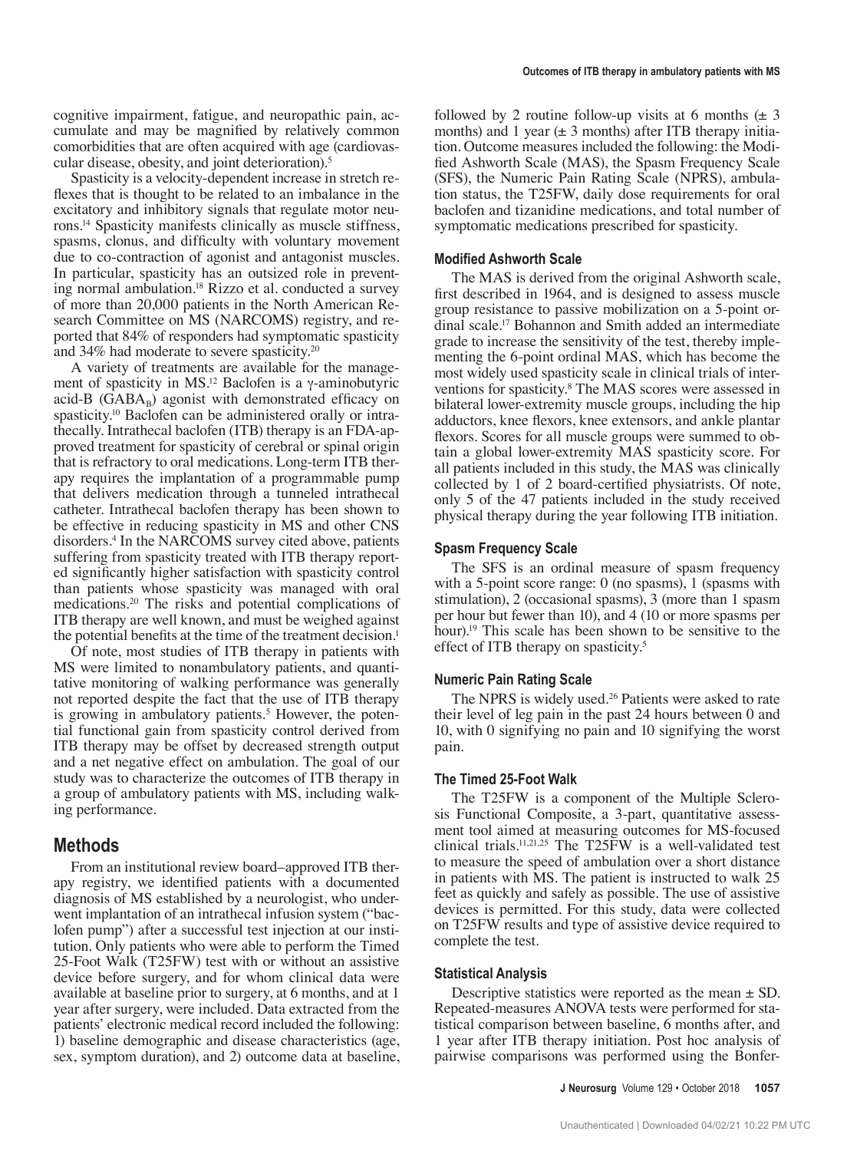cognitive impairment, fatigue, and neuropathic pain, accumulate and may be magnified by relatively common comorbidities that are often acquired with age (cardiovascular disease, obesity, and joint deterioration).<sup>5</sup>

Spasticity is a velocity-dependent increase in stretch reflexes that is thought to be related to an imbalance in the excitatory and inhibitory signals that regulate motor neurons.14 Spasticity manifests clinically as muscle stiffness, spasms, clonus, and difficulty with voluntary movement due to co-contraction of agonist and antagonist muscles. In particular, spasticity has an outsized role in preventing normal ambulation.18 Rizzo et al. conducted a survey of more than 20,000 patients in the North American Research Committee on MS (NARCOMS) registry, and reported that 84% of responders had symptomatic spasticity and 34% had moderate to severe spasticity.20

A variety of treatments are available for the management of spasticity in MS.<sup>12</sup> Baclofen is a  $\gamma$ -aminobutyric acid-B ( $GABA_B$ ) agonist with demonstrated efficacy on spasticity.<sup>10</sup> Baclofen can be administered orally or intrathecally. Intrathecal baclofen (ITB) therapy is an FDA-approved treatment for spasticity of cerebral or spinal origin that is refractory to oral medications. Long-term ITB therapy requires the implantation of a programmable pump that delivers medication through a tunneled intrathecal catheter. Intrathecal baclofen therapy has been shown to be effective in reducing spasticity in MS and other CNS disorders.4 In the NARCOMS survey cited above, patients suffering from spasticity treated with ITB therapy reported significantly higher satisfaction with spasticity control than patients whose spasticity was managed with oral medications.20 The risks and potential complications of ITB therapy are well known, and must be weighed against the potential benefits at the time of the treatment decision.<sup>1</sup>

Of note, most studies of ITB therapy in patients with MS were limited to nonambulatory patients, and quantitative monitoring of walking performance was generally not reported despite the fact that the use of ITB therapy is growing in ambulatory patients.<sup>5</sup> However, the potential functional gain from spasticity control derived from ITB therapy may be offset by decreased strength output and a net negative effect on ambulation. The goal of our study was to characterize the outcomes of ITB therapy in a group of ambulatory patients with MS, including walking performance.

# **Methods**

From an institutional review board–approved ITB therapy registry, we identified patients with a documented diagnosis of MS established by a neurologist, who underwent implantation of an intrathecal infusion system ("baclofen pump") after a successful test injection at our institution. Only patients who were able to perform the Timed 25-Foot Walk (T25FW) test with or without an assistive device before surgery, and for whom clinical data were available at baseline prior to surgery, at 6 months, and at 1 year after surgery, were included. Data extracted from the patients' electronic medical record included the following: 1) baseline demographic and disease characteristics (age, sex, symptom duration), and 2) outcome data at baseline, followed by 2 routine follow-up visits at 6 months  $(\pm 3)$ months) and 1 year  $(\pm 3 \text{ months})$  after ITB therapy initiation. Outcome measures included the following: the Modified Ashworth Scale (MAS), the Spasm Frequency Scale (SFS), the Numeric Pain Rating Scale (NPRS), ambulation status, the T25FW, daily dose requirements for oral baclofen and tizanidine medications, and total number of symptomatic medications prescribed for spasticity.

#### **Modified Ashworth Scale**

The MAS is derived from the original Ashworth scale, first described in 1964, and is designed to assess muscle group resistance to passive mobilization on a 5-point ordinal scale.17 Bohannon and Smith added an intermediate grade to increase the sensitivity of the test, thereby implementing the 6-point ordinal MAS, which has become the most widely used spasticity scale in clinical trials of interventions for spasticity.8 The MAS scores were assessed in bilateral lower-extremity muscle groups, including the hip adductors, knee flexors, knee extensors, and ankle plantar flexors. Scores for all muscle groups were summed to obtain a global lower-extremity MAS spasticity score. For all patients included in this study, the MAS was clinically collected by 1 of 2 board-certified physiatrists. Of note, only 5 of the 47 patients included in the study received physical therapy during the year following ITB initiation.

# **Spasm Frequency Scale**

The SFS is an ordinal measure of spasm frequency with a 5-point score range: 0 (no spasms), 1 (spasms with stimulation), 2 (occasional spasms), 3 (more than 1 spasm per hour but fewer than 10), and 4 (10 or more spasms per hour).19 This scale has been shown to be sensitive to the effect of ITB therapy on spasticity.<sup>5</sup>

#### **Numeric Pain Rating Scale**

The NPRS is widely used.<sup>26</sup> Patients were asked to rate their level of leg pain in the past 24 hours between 0 and 10, with 0 signifying no pain and 10 signifying the worst pain.

#### **The Timed 25-Foot Walk**

The T25FW is a component of the Multiple Sclerosis Functional Composite, a 3-part, quantitative assessment tool aimed at measuring outcomes for MS-focused clinical trials.11,21,25 The T25FW is a well-validated test to measure the speed of ambulation over a short distance in patients with MS. The patient is instructed to walk 25 feet as quickly and safely as possible. The use of assistive devices is permitted. For this study, data were collected on T25FW results and type of assistive device required to complete the test.

#### **Statistical Analysis**

Descriptive statistics were reported as the mean  $\pm$  SD. Repeated-measures ANOVA tests were performed for statistical comparison between baseline, 6 months after, and 1 year after ITB therapy initiation. Post hoc analysis of pairwise comparisons was performed using the Bonfer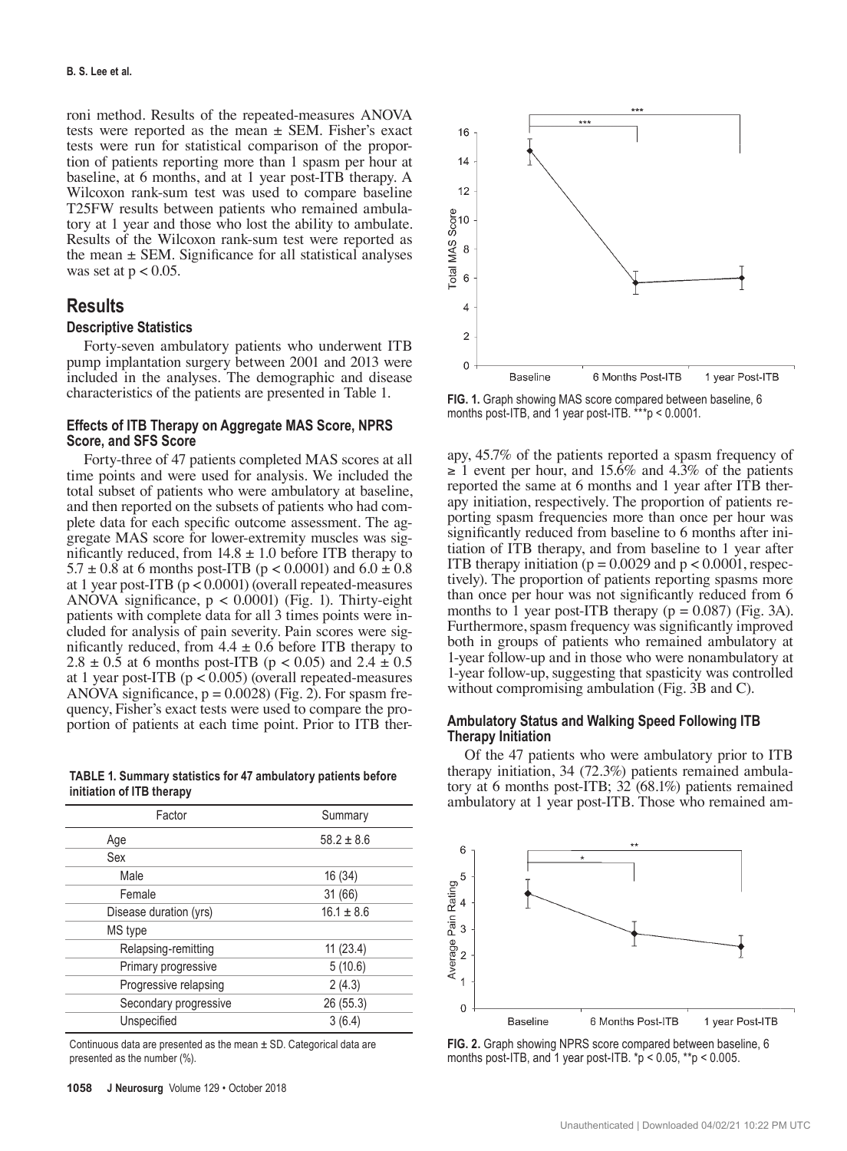roni method. Results of the repeated-measures ANOVA tests were reported as the mean  $\pm$  SEM. Fisher's exact tests were run for statistical comparison of the proportion of patients reporting more than 1 spasm per hour at baseline, at 6 months, and at 1 year post-ITB therapy. A Wilcoxon rank-sum test was used to compare baseline T25FW results between patients who remained ambulatory at 1 year and those who lost the ability to ambulate. Results of the Wilcoxon rank-sum test were reported as the mean  $\pm$  SEM. Significance for all statistical analyses was set at  $p < 0.05$ .

# **Results**

### **Descriptive Statistics**

Forty-seven ambulatory patients who underwent ITB pump implantation surgery between 2001 and 2013 were included in the analyses. The demographic and disease characteristics of the patients are presented in Table 1.

#### **Effects of ITB Therapy on Aggregate MAS Score, NPRS Score, and SFS Score**

Forty-three of 47 patients completed MAS scores at all time points and were used for analysis. We included the total subset of patients who were ambulatory at baseline, and then reported on the subsets of patients who had complete data for each specific outcome assessment. The aggregate MAS score for lower-extremity muscles was significantly reduced, from  $14.8 \pm 1.0$  before ITB therapy to  $5.7 \pm 0.8$  at 6 months post-ITB (p < 0.0001) and  $6.0 \pm 0.8$ at 1 year post-ITB (p < 0.0001) (overall repeated-measures ANOVA significance, p < 0.0001) (Fig. 1). Thirty-eight patients with complete data for all 3 times points were included for analysis of pain severity. Pain scores were significantly reduced, from  $4.4 \pm 0.6$  before ITB therapy to  $2.8 \pm 0.5$  at 6 months post-ITB (p < 0.05) and  $2.4 \pm 0.5$ at 1 year post-ITB (p < 0.005) (overall repeated-measures ANOVA significance,  $p = 0.0028$  (Fig. 2). For spasm frequency, Fisher's exact tests were used to compare the proportion of patients at each time point. Prior to ITB ther-

**TABLE 1. Summary statistics for 47 ambulatory patients before initiation of ITB therapy**

| Factor                 | Summary        |  |
|------------------------|----------------|--|
| Age                    | $58.2 \pm 8.6$ |  |
| Sex                    |                |  |
| Male                   | 16 (34)        |  |
| Female                 | 31 (66)        |  |
| Disease duration (yrs) | $16.1 \pm 8.6$ |  |
| MS type                |                |  |
| Relapsing-remitting    | 11(23.4)       |  |
| Primary progressive    | 5(10.6)        |  |
| Progressive relapsing  | 2(4.3)         |  |
| Secondary progressive  | 26 (55.3)      |  |
| Unspecified            | 3(6.4)         |  |

Continuous data are presented as the mean  $\pm$  SD. Categorical data are presented as the number (%).



**FIG. 1.** Graph showing MAS score compared between baseline, 6 months post-ITB, and 1 year post-ITB. \*\*\*p < 0.0001.

apy, 45.7% of the patients reported a spasm frequency of  $\geq 1$  event per hour, and 15.6% and 4.3% of the patients reported the same at 6 months and 1 year after ITB therapy initiation, respectively. The proportion of patients reporting spasm frequencies more than once per hour was significantly reduced from baseline to 6 months after initiation of ITB therapy, and from baseline to 1 year after ITB therapy initiation ( $p = 0.0029$  and  $p < 0.0001$ , respectively). The proportion of patients reporting spasms more than once per hour was not significantly reduced from 6 months to 1 year post-ITB therapy ( $p = 0.087$ ) (Fig. 3A). Furthermore, spasm frequency was significantly improved both in groups of patients who remained ambulatory at 1-year follow-up and in those who were nonambulatory at 1-year follow-up, suggesting that spasticity was controlled without compromising ambulation (Fig. 3B and C).

#### **Ambulatory Status and Walking Speed Following ITB Therapy Initiation**

Of the 47 patients who were ambulatory prior to ITB therapy initiation, 34 (72.3%) patients remained ambulatory at 6 months post-ITB; 32 (68.1%) patients remained ambulatory at 1 year post-ITB. Those who remained am-



**FIG. 2.** Graph showing NPRS score compared between baseline, 6 months post-ITB, and 1 year post-ITB. \*p < 0.05, \*\*p < 0.005.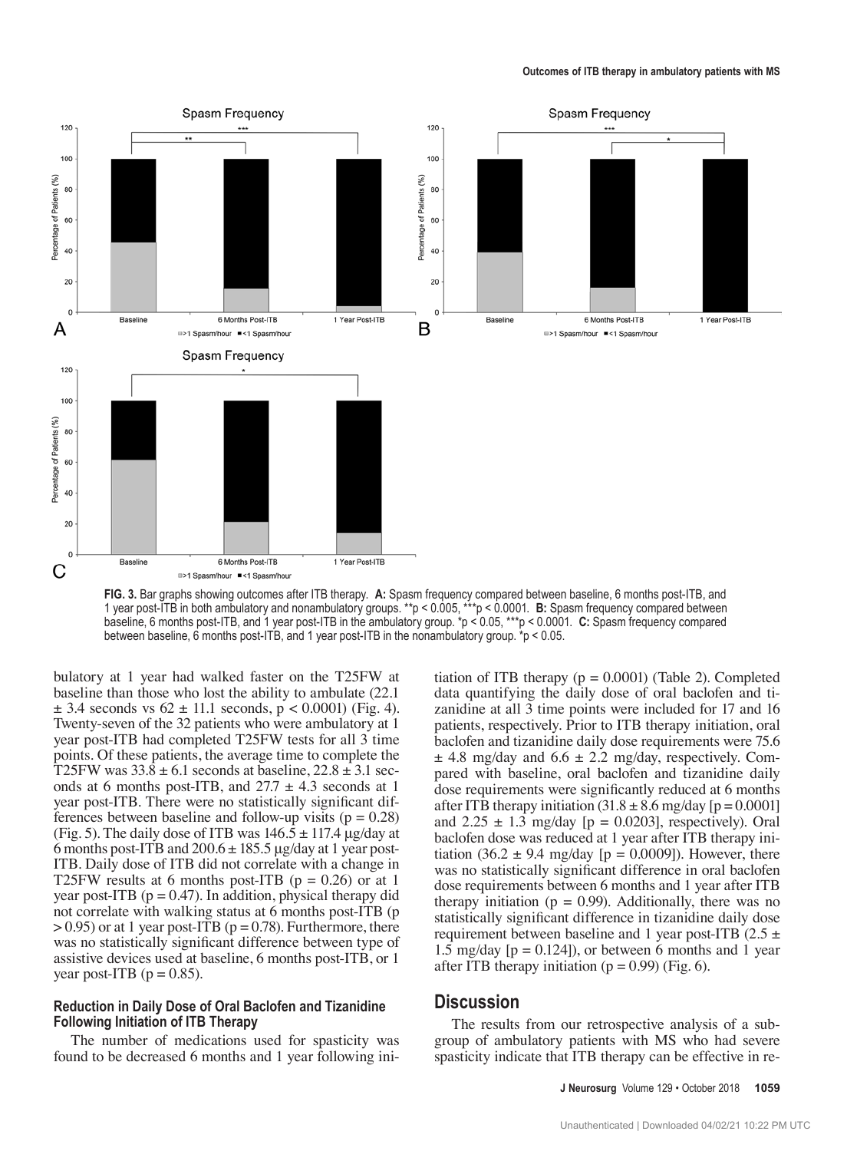

**FIG. 3.** Bar graphs showing outcomes after ITB therapy. **A:** Spasm frequency compared between baseline, 6 months post-ITB, and 1 year post-ITB in both ambulatory and nonambulatory groups. \*\*p < 0.005, \*\*\*p < 0.0001. **B:** Spasm frequency compared between baseline, 6 months post-ITB, and 1 year post-ITB in the ambulatory group. \*p < 0.05, \*\*\*p < 0.0001. **C:** Spasm frequency compared between baseline, 6 months post-ITB, and 1 year post-ITB in the nonambulatory group. \*p < 0.05.

bulatory at 1 year had walked faster on the T25FW at baseline than those who lost the ability to ambulate (22.1  $\pm$  3.4 seconds vs 62  $\pm$  11.1 seconds, p < 0.0001) (Fig. 4). Twenty-seven of the 32 patients who were ambulatory at 1 year post-ITB had completed T25FW tests for all 3 time points. Of these patients, the average time to complete the T25FW was  $33.8 \pm 6.1$  seconds at baseline,  $22.8 \pm 3.1$  seconds at 6 months post-ITB, and  $27.7 \pm 4.3$  seconds at 1 year post-ITB. There were no statistically significant differences between baseline and follow-up visits ( $p = 0.28$ ) (Fig. 5). The daily dose of ITB was  $146.5 \pm 117.4$  μg/day at 6 months post-ITB and  $200.6 \pm 185.5$  μg/day at 1 year post-ITB. Daily dose of ITB did not correlate with a change in T25FW results at 6 months post-ITB ( $p = 0.26$ ) or at 1 year post-ITB ( $p = 0.47$ ). In addition, physical therapy did not correlate with walking status at 6 months post-ITB (p  $> 0.95$ ) or at 1 year post-ITB ( $p = 0.78$ ). Furthermore, there was no statistically significant difference between type of assistive devices used at baseline, 6 months post-ITB, or 1 year post-ITB ( $p = 0.85$ ).

#### **Reduction in Daily Dose of Oral Baclofen and Tizanidine Following Initiation of ITB Therapy**

The number of medications used for spasticity was found to be decreased 6 months and 1 year following initiation of ITB therapy  $(p = 0.0001)$  (Table 2). Completed data quantifying the daily dose of oral baclofen and tizanidine at all 3 time points were included for 17 and 16 patients, respectively. Prior to ITB therapy initiation, oral baclofen and tizanidine daily dose requirements were 75.6  $\pm$  4.8 mg/day and 6.6  $\pm$  2.2 mg/day, respectively. Compared with baseline, oral baclofen and tizanidine daily dose requirements were significantly reduced at 6 months after ITB therapy initiation  $(31.8 \pm 8.6 \text{ mg/day}$  [p = 0.0001] and  $2.25 \pm 1.3$  mg/day [p = 0.0203], respectively). Oral baclofen dose was reduced at 1 year after ITB therapy initiation (36.2  $\pm$  9.4 mg/day [p = 0.0009]). However, there was no statistically significant difference in oral baclofen dose requirements between 6 months and 1 year after ITB therapy initiation ( $p = 0.99$ ). Additionally, there was no statistically significant difference in tizanidine daily dose requirement between baseline and 1 year post-ITB (2.5  $\pm$ 1.5 mg/day  $[p = 0.124]$ , or between 6 months and 1 year after ITB therapy initiation ( $p = 0.99$ ) (Fig. 6).

# **Discussion**

The results from our retrospective analysis of a subgroup of ambulatory patients with MS who had severe spasticity indicate that ITB therapy can be effective in re-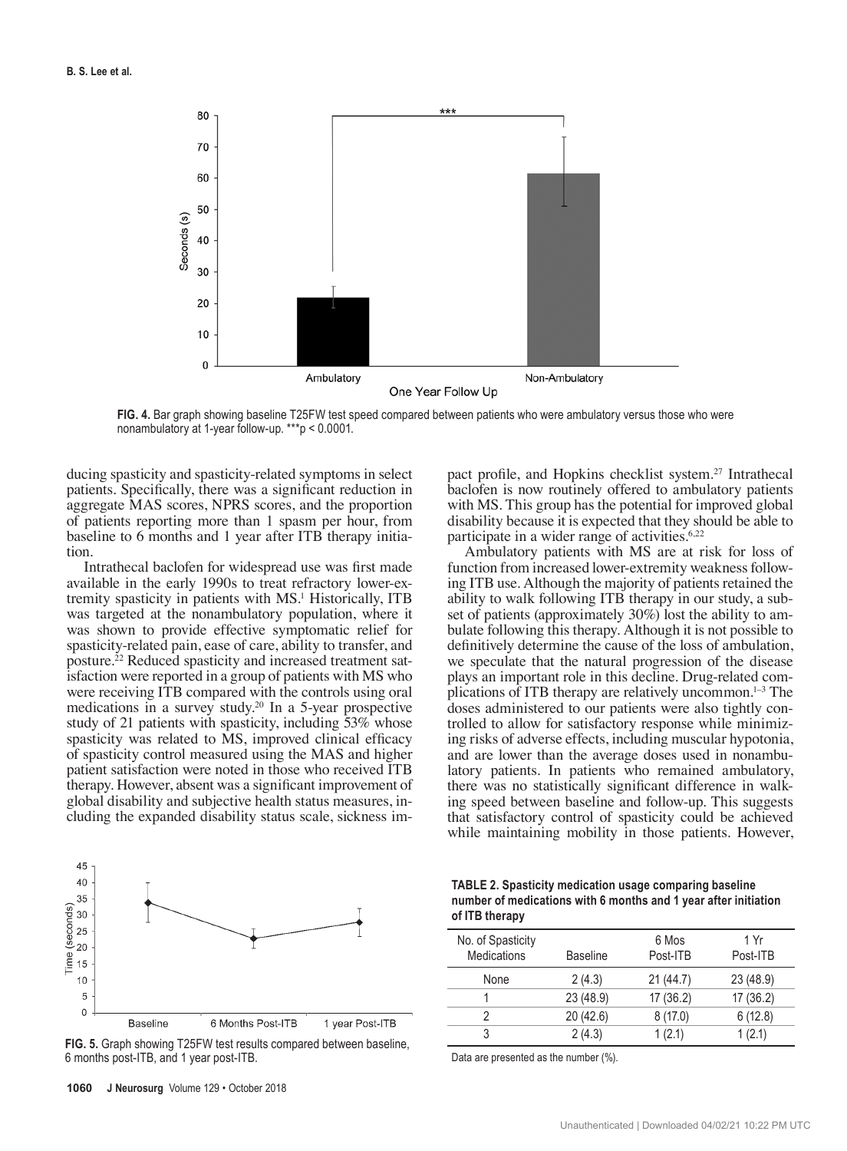

**FIG. 4.** Bar graph showing baseline T25FW test speed compared between patients who were ambulatory versus those who were nonambulatory at 1-year follow-up. \*\*\*p < 0.0001.

ducing spasticity and spasticity-related symptoms in select patients. Specifically, there was a significant reduction in aggregate MAS scores, NPRS scores, and the proportion of patients reporting more than 1 spasm per hour, from baseline to 6 months and 1 year after ITB therapy initiation.

Intrathecal baclofen for widespread use was first made available in the early 1990s to treat refractory lower-extremity spasticity in patients with MS.<sup>1</sup> Historically, ITB was targeted at the nonambulatory population, where it was shown to provide effective symptomatic relief for spasticity-related pain, ease of care, ability to transfer, and posture.22 Reduced spasticity and increased treatment satisfaction were reported in a group of patients with MS who were receiving ITB compared with the controls using oral medications in a survey study.20 In a 5-year prospective study of 21 patients with spasticity, including 53% whose spasticity was related to MS, improved clinical efficacy of spasticity control measured using the MAS and higher patient satisfaction were noted in those who received ITB therapy. However, absent was a significant improvement of global disability and subjective health status measures, including the expanded disability status scale, sickness impact profile, and Hopkins checklist system.27 Intrathecal baclofen is now routinely offered to ambulatory patients with MS. This group has the potential for improved global disability because it is expected that they should be able to participate in a wider range of activities.<sup>6,22</sup>

Ambulatory patients with MS are at risk for loss of function from increased lower-extremity weakness following ITB use. Although the majority of patients retained the ability to walk following ITB therapy in our study, a subset of patients (approximately 30%) lost the ability to ambulate following this therapy. Although it is not possible to definitively determine the cause of the loss of ambulation, we speculate that the natural progression of the disease plays an important role in this decline. Drug-related complications of ITB therapy are relatively uncommon.1–3 The doses administered to our patients were also tightly controlled to allow for satisfactory response while minimizing risks of adverse effects, including muscular hypotonia, and are lower than the average doses used in nonambulatory patients. In patients who remained ambulatory, there was no statistically significant difference in walking speed between baseline and follow-up. This suggests that satisfactory control of spasticity could be achieved while maintaining mobility in those patients. However,



**FIG. 5.** Graph showing T25FW test results compared between baseline, 6 months post-ITB, and 1 year post-ITB.

| <b>TABLE 2. Spasticity medication usage comparing baseline</b>  |
|-----------------------------------------------------------------|
| number of medications with 6 months and 1 year after initiation |
| of ITB therapy                                                  |

| No. of Spasticity<br><b>Medications</b> | <b>Baseline</b> | 6 Mos<br>Post-ITB | 1 Yr<br>Post-ITB |
|-----------------------------------------|-----------------|-------------------|------------------|
| None                                    | 2(4.3)          | 21 (44.7)         | 23 (48.9)        |
|                                         | 23 (48.9)       | 17(36.2)          | 17(36.2)         |
| 2                                       | 20 (42.6)       | 8(17.0)           | 6(12.8)          |
| 3                                       | 2(4.3)          | 1(2.1)            | 1(2.1)           |

Data are presented as the number (%).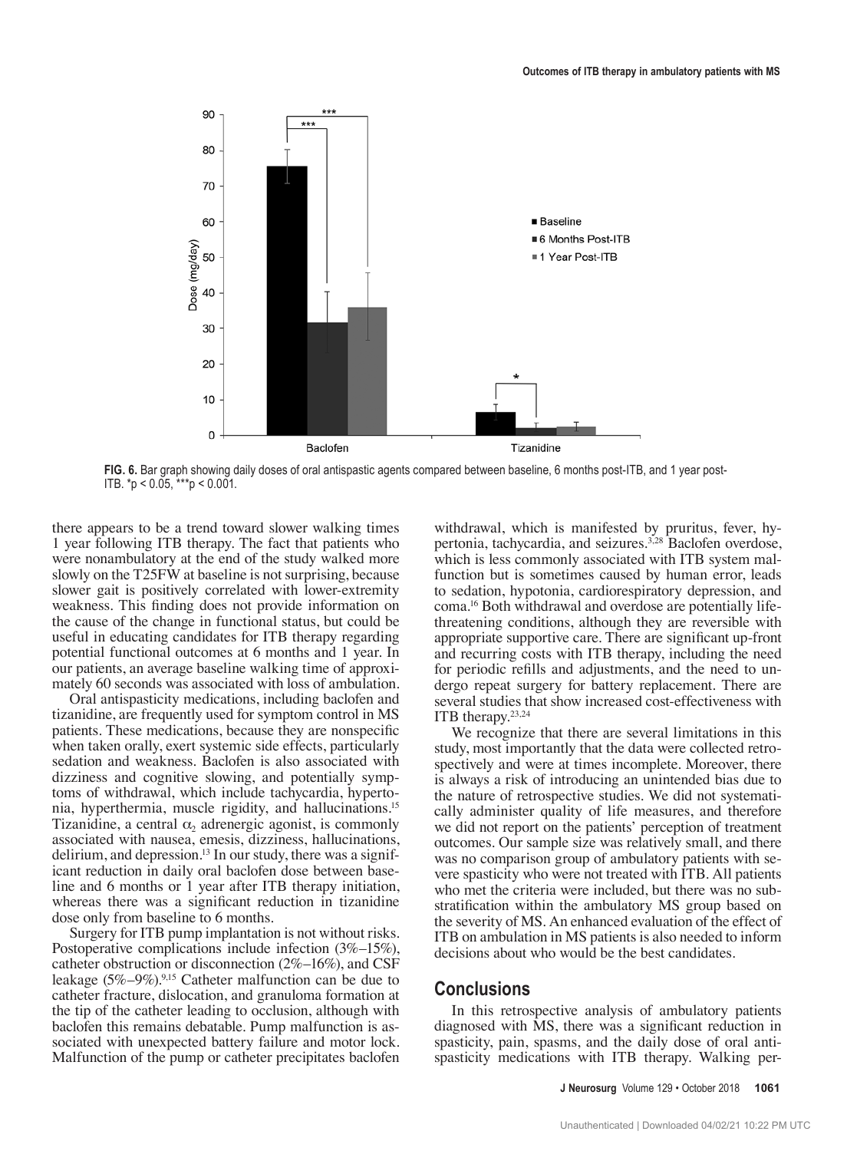



there appears to be a trend toward slower walking times 1 year following ITB therapy. The fact that patients who were nonambulatory at the end of the study walked more slowly on the T25FW at baseline is not surprising, because slower gait is positively correlated with lower-extremity weakness. This finding does not provide information on the cause of the change in functional status, but could be useful in educating candidates for ITB therapy regarding potential functional outcomes at 6 months and 1 year. In our patients, an average baseline walking time of approximately 60 seconds was associated with loss of ambulation.

Oral antispasticity medications, including baclofen and tizanidine, are frequently used for symptom control in MS patients. These medications, because they are nonspecific when taken orally, exert systemic side effects, particularly sedation and weakness. Baclofen is also associated with dizziness and cognitive slowing, and potentially symptoms of withdrawal, which include tachycardia, hypertonia, hyperthermia, muscle rigidity, and hallucinations.15 Tizanidine, a central  $\alpha_2$  adrenergic agonist, is commonly associated with nausea, emesis, dizziness, hallucinations, delirium, and depression.<sup>13</sup> In our study, there was a significant reduction in daily oral baclofen dose between baseline and 6 months or 1 year after ITB therapy initiation, whereas there was a significant reduction in tizanidine dose only from baseline to 6 months.

Surgery for ITB pump implantation is not without risks. Postoperative complications include infection (3%–15%), catheter obstruction or disconnection (2%–16%), and CSF leakage  $(5\% - 9\%)$ <sup>9,15</sup> Catheter malfunction can be due to catheter fracture, dislocation, and granuloma formation at the tip of the catheter leading to occlusion, although with baclofen this remains debatable. Pump malfunction is associated with unexpected battery failure and motor lock. Malfunction of the pump or catheter precipitates baclofen withdrawal, which is manifested by pruritus, fever, hypertonia, tachycardia, and seizures.<sup>3,28</sup> Baclofen overdose, which is less commonly associated with ITB system malfunction but is sometimes caused by human error, leads to sedation, hypotonia, cardiorespiratory depression, and coma.16 Both withdrawal and overdose are potentially lifethreatening conditions, although they are reversible with appropriate supportive care. There are significant up-front and recurring costs with ITB therapy, including the need for periodic refills and adjustments, and the need to undergo repeat surgery for battery replacement. There are several studies that show increased cost-effectiveness with ITB therapy.23,24

We recognize that there are several limitations in this study, most importantly that the data were collected retrospectively and were at times incomplete. Moreover, there is always a risk of introducing an unintended bias due to the nature of retrospective studies. We did not systematically administer quality of life measures, and therefore we did not report on the patients' perception of treatment outcomes. Our sample size was relatively small, and there was no comparison group of ambulatory patients with severe spasticity who were not treated with ITB. All patients who met the criteria were included, but there was no substratification within the ambulatory MS group based on the severity of MS. An enhanced evaluation of the effect of ITB on ambulation in MS patients is also needed to inform decisions about who would be the best candidates.

# **Conclusions**

In this retrospective analysis of ambulatory patients diagnosed with MS, there was a significant reduction in spasticity, pain, spasms, and the daily dose of oral antispasticity medications with ITB therapy. Walking per